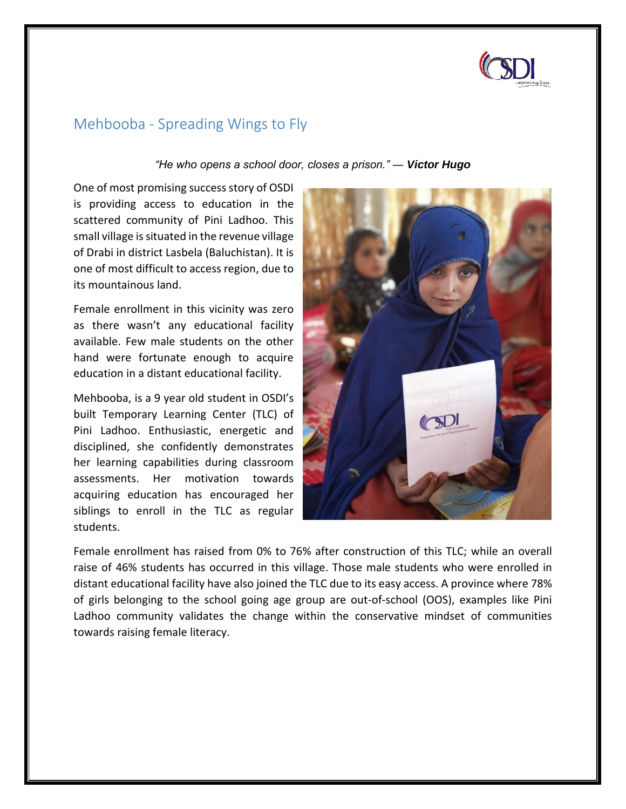

## Mehbooba - Spreading Wings to Fly

*"He who opens a school door, closes a prison." ― [Victor](https://everydaypower.com/victor-hugo-quotes-love-life-music/) Hugo*

One of most promising success story of OSDI is providing access to education in the scattered community of Pini Ladhoo. This small village is situated in the revenue village of Drabi in district Lasbela (Baluchistan). It is one of most difficult to access region, due to its mountainous land.

Female enrollment in this vicinity was zero as there wasn't any educational facility available. Few male students on the other hand were fortunate enough to acquire education in a distant educational facility.

Mehbooba, is a 9 year old student in OSDI's built Temporary Learning Center (TLC) of Pini Ladhoo. Enthusiastic, energetic and disciplined, she confidently demonstrates her learning capabilities during classroom assessments. Her motivation towards acquiring education has encouraged her siblings to enroll in the TLC as regular students.



Female enrollment has raised from 0% to 76% after construction of this TLC; while an overall raise of 46% students has occurred in this village. Those male students who were enrolled in distant educational facility have also joined the TLC due to its easy access. A province where 78% of girls belonging to the school going age group are out-of-school (OOS), examples like Pini Ladhoo community validates the change within the conservative mindset of communities towards raising female literacy.